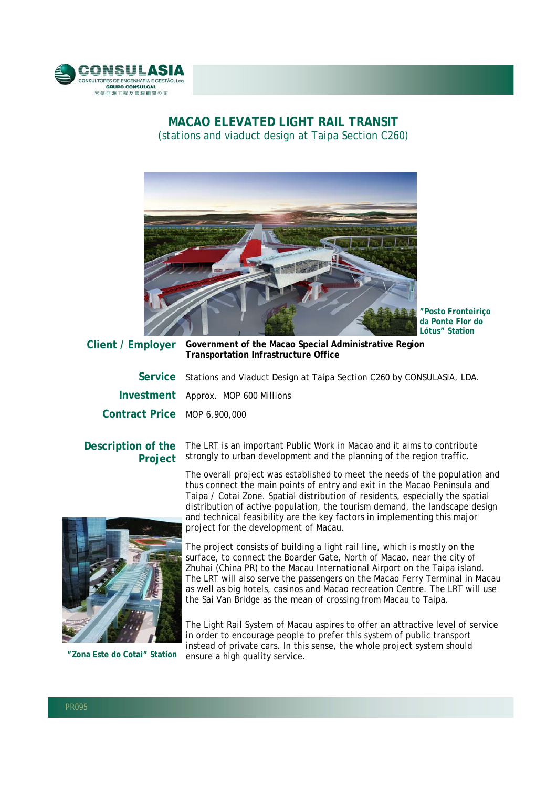

## **MACAO ELEVATED LIGHT RAIL TRANSIT**  (stations and viaduct design at Taipa Section C260)



**"Posto Fronteiriço da Ponte Flor do Lótus" Station**

**Client / Employer Government of the Macao Special Administrative Region Transportation Infrastructure Office** 

**Service** Stations and Viaduct Design at Taipa Section C260 by CONSULASIA, LDA.

**Investment** Approx. MOP 600 Millions

**Contract Price** MOP 6,900,000

## **Description of the Project**

The LRT is an important Public Work in Macao and it aims to contribute strongly to urban development and the planning of the region traffic.

The overall project was established to meet the needs of the population and thus connect the main points of entry and exit in the Macao Peninsula and Taipa / Cotai Zone. Spatial distribution of residents, especially the spatial distribution of active population, the tourism demand, the landscape design and technical feasibility are the key factors in implementing this major project for the development of Macau.



**"Zona Este do Cotai" Station**

The project consists of building a light rail line, which is mostly on the surface, to connect the Boarder Gate, North of Macao, near the city of Zhuhai (China PR) to the Macau International Airport on the Taipa island. The LRT will also serve the passengers on the Macao Ferry Terminal in Macau as well as big hotels, casinos and Macao recreation Centre. The LRT will use the Sai Van Bridge as the mean of crossing from Macau to Taipa.

The Light Rail System of Macau aspires to offer an attractive level of service in order to encourage people to prefer this system of public transport instead of private cars. In this sense, the whole project system should ensure a high quality service.

l